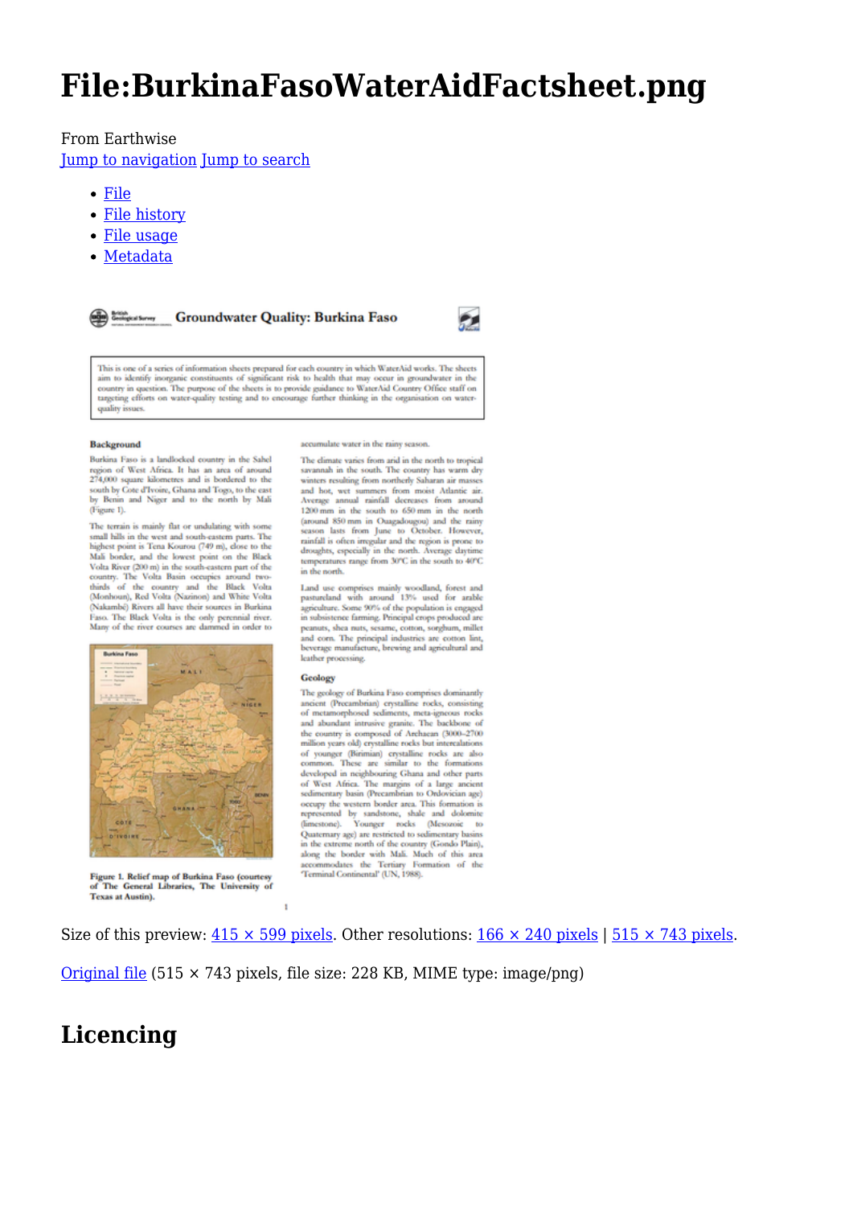# **File:BurkinaFasoWaterAidFactsheet.png**

#### From Earthwise

[Jump to navigation](#page--1-0) [Jump to search](#page--1-0)

- [File](#page--1-0)
- [File history](#page--1-0)
- [File usage](#page--1-0)
- [Metadata](#page--1-0)

**Croundwater Quality: Burkina Faso** 



This is one of a series of information sheets prepared for each country in which WaterAid works. The sheets This is one or a senies or miormanon sneets prepared to each country in wineth water value and to identify inorganic constituents of significant risk to health that may occur in groundwater in the country in question. The quality issues

#### **Background**

Burkina Faso is a landlocked country in the Sahel region of West Africa. It has an area of around 274,000 square kilometres and is bordered to the south by Cote d'Ivoire, Ghana and Togo, to the east<br>by Benin and Niger and to the north by Mali (Figure 1).

The terrain is mainly flat or undulating with some The terrain is mainly flat or undulating with some<br>small hils in the west and south-eastern parts. The<br>highest point is Tena Kourou (749 m), close to the<br>Mali border, and the lowest point on the Black<br>Volta River (200 m) (Nakambé), teau vous (vasanous) ana wunce vous<br>
Faso. The Black Volta is the only perennial river.<br>
Hany of the river courses are dammed in order to



Figure 1. Relief map of Burkina Faso (courtesy The General Libraries, The University of **Texas at Austin).** 

accumulate water in the rainy season.

The climate varies from arid in the north to tropical savannah in the south. The country has warm dry<br>winters resulting from northerly Saharan air masses and hot, wet summers from moist Atlantic air.<br>Average annual rainfall decreases from around 1200 mm in the south to 650 mm in the north (around 850 mm in Ouagadougou) and the rainy<br>season lasts from June to October. However, scass and the region is process. The results in the region is proces to droughts, especially in the north. Average daytime temperatures range from 30°C in the south to 40°C in the north

Land use comprises mainly woodland, forest and<br>pastureland with around 13% used for arable agriculture. Some 90% of the population is engaged in subsistence farming. Principal crops produced are<br>peanuts, shea nuts, sesame, cotton, sorghum, millet and corn. The principal industries are cotton lint,<br>beverage manufacture, brewing and agricultural and leather processing.

#### Geology

The geology of Burkina Faso comprises dominantly ancient (Precambrian) crystalline rocks, consisting<br>of metamorphosed sediments, meta-igneous rocks and abundant intrusive granite. The backbone of the country is composed of Archaean (3000-2700) million years old) crystalline rocks but intercalations million years old) crystalline rocks but intercalations<br>of younger (Birimian) crystalline rocks are also<br>common. These are similar to the formations developed in neighbouring Ghana and other parts of West Africa. The margins of a large ancient<br>sedimentary basin (Precambrian to Ordovician age) Sourcestern border area. This formation is<br>represented by sandstone, shale and dolomite<br>(limestone). Younger rocks (Mesozoie to<br>Quaternary age) are restricted to sedimentary basins in the extreme north of the country (Gondo Plain), along the border with Mali. Much of this area accommodates the Tertiary Formation of the<br>Terminal Continental' (UN, 1988).

Size of this preview:  $415 \times 599$  pixels. Other resolutions:  $166 \times 240$  pixels |  $515 \times 743$  pixels.

[Original file](http://earthwise.bgs.ac.uk/images/6/6c/BurkinaFasoWaterAidFactsheet.png) (515 × 743 pixels, file size: 228 KB, MIME type: image/png)

### **Licencing**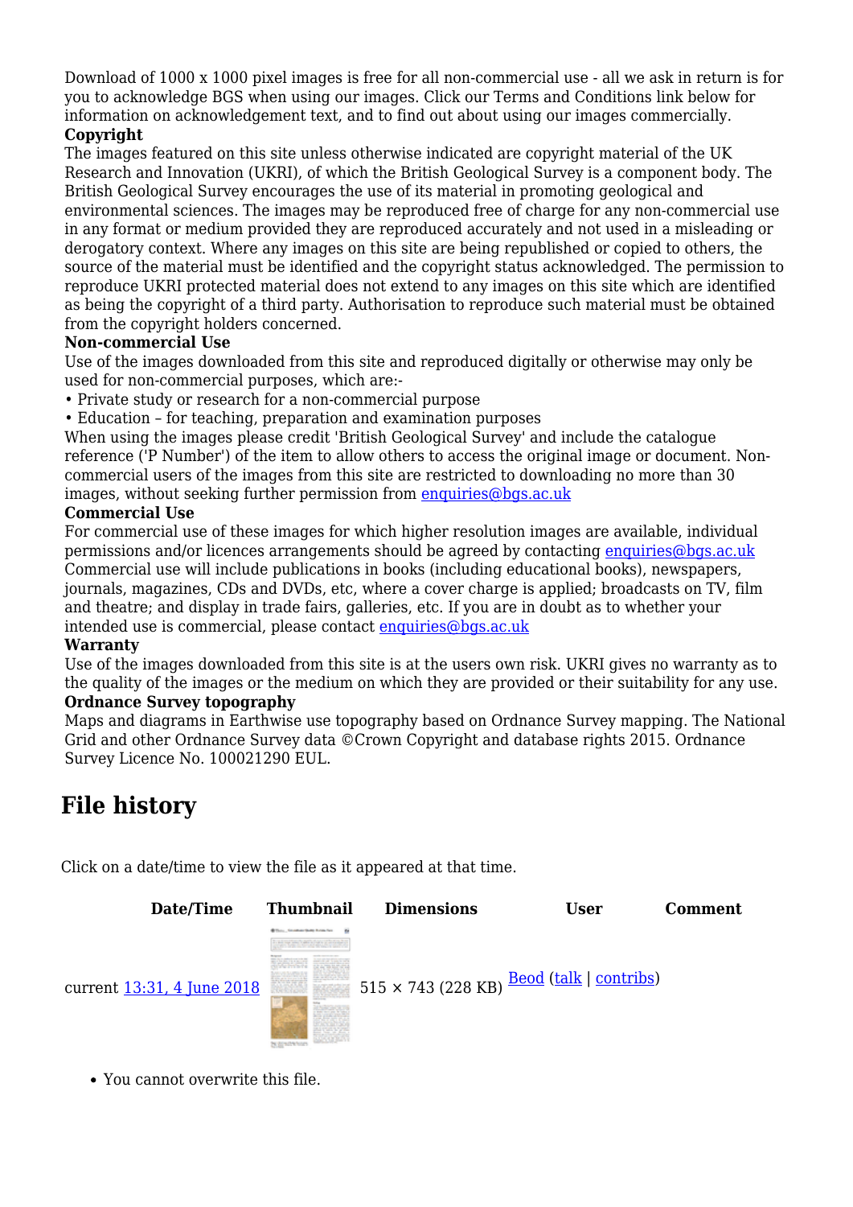Download of 1000 x 1000 pixel images is free for all non-commercial use - all we ask in return is for you to acknowledge BGS when using our images. Click our Terms and Conditions link below for information on acknowledgement text, and to find out about using our images commercially.

### **Copyright**

The images featured on this site unless otherwise indicated are copyright material of the UK Research and Innovation (UKRI), of which the British Geological Survey is a component body. The British Geological Survey encourages the use of its material in promoting geological and environmental sciences. The images may be reproduced free of charge for any non-commercial use in any format or medium provided they are reproduced accurately and not used in a misleading or derogatory context. Where any images on this site are being republished or copied to others, the source of the material must be identified and the copyright status acknowledged. The permission to reproduce UKRI protected material does not extend to any images on this site which are identified as being the copyright of a third party. Authorisation to reproduce such material must be obtained from the copyright holders concerned.

#### **Non-commercial Use**

Use of the images downloaded from this site and reproduced digitally or otherwise may only be used for non-commercial purposes, which are:-

- Private study or research for a non-commercial purpose
- Education for teaching, preparation and examination purposes

When using the images please credit 'British Geological Survey' and include the catalogue reference ('P Number') of the item to allow others to access the original image or document. Noncommercial users of the images from this site are restricted to downloading no more than 30 images, without seeking further permission from [enquiries@bgs.ac.uk](mailto:enquiries@bgs.ac.uk)

#### **Commercial Use**

For commercial use of these images for which higher resolution images are available, individual permissions and/or licences arrangements should be agreed by contacting [enquiries@bgs.ac.uk](mailto:enquiries@bgs.ac.uk) Commercial use will include publications in books (including educational books), newspapers, journals, magazines, CDs and DVDs, etc, where a cover charge is applied; broadcasts on TV, film and theatre; and display in trade fairs, galleries, etc. If you are in doubt as to whether your intended use is commercial, please contact [enquiries@bgs.ac.uk](mailto:enquiries@bgs.ac.uk)

#### **Warranty**

Use of the images downloaded from this site is at the users own risk. UKRI gives no warranty as to the quality of the images or the medium on which they are provided or their suitability for any use.

### **Ordnance Survey topography**

Maps and diagrams in Earthwise use topography based on Ordnance Survey mapping. The National Grid and other Ordnance Survey data ©Crown Copyright and database rights 2015. Ordnance Survey Licence No. 100021290 EUL.

## **File history**

Click on a date/time to view the file as it appeared at that time.



You cannot overwrite this file.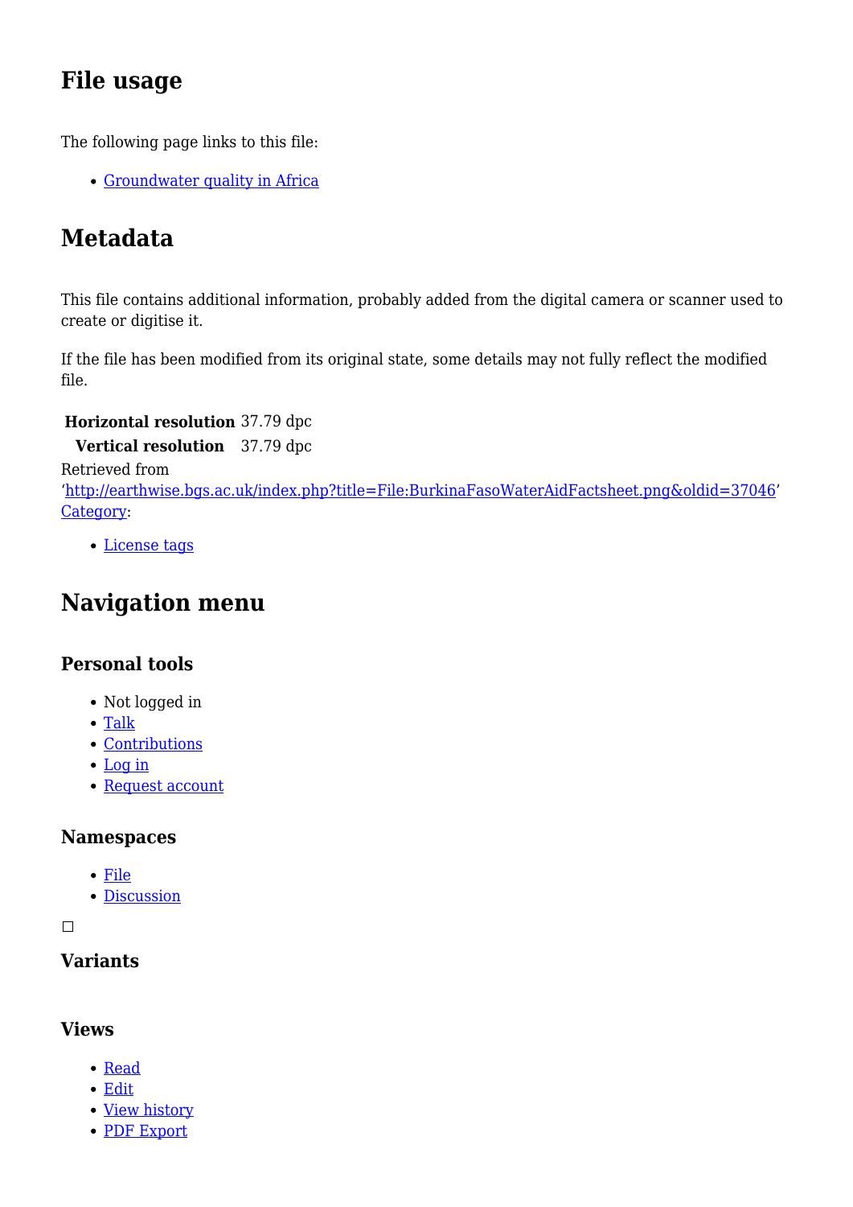## **File usage**

The following page links to this file:

[Groundwater quality in Africa](http://earthwise.bgs.ac.uk/index.php/Groundwater_quality_in_Africa)

## **Metadata**

This file contains additional information, probably added from the digital camera or scanner used to create or digitise it.

If the file has been modified from its original state, some details may not fully reflect the modified file.

**Horizontal resolution** 37.79 dpc

**Vertical resolution** 37.79 dpc

Retrieved from

'[http://earthwise.bgs.ac.uk/index.php?title=File:BurkinaFasoWaterAidFactsheet.png&oldid=37046'](http://earthwise.bgs.ac.uk/index.php?title=File:BurkinaFasoWaterAidFactsheet.png&oldid=37046) [Category](http://earthwise.bgs.ac.uk/index.php/Special:Categories):

[License tags](http://earthwise.bgs.ac.uk/index.php/Category:License_tags)

## **Navigation menu**

### **Personal tools**

- Not logged in
- [Talk](http://earthwise.bgs.ac.uk/index.php/Special:MyTalk)
- [Contributions](http://earthwise.bgs.ac.uk/index.php/Special:MyContributions)
- [Log in](http://earthwise.bgs.ac.uk/index.php?title=Special:UserLogin&returnto=File%3ABurkinaFasoWaterAidFactsheet.png&returntoquery=action%3Dmpdf)
- [Request account](http://earthwise.bgs.ac.uk/index.php/Special:RequestAccount)

### **Namespaces**

- [File](http://earthwise.bgs.ac.uk/index.php/File:BurkinaFasoWaterAidFactsheet.png)
- [Discussion](http://earthwise.bgs.ac.uk/index.php?title=File_talk:BurkinaFasoWaterAidFactsheet.png&action=edit&redlink=1)

 $\Box$ 

### **Variants**

### **Views**

- [Read](http://earthwise.bgs.ac.uk/index.php/File:BurkinaFasoWaterAidFactsheet.png)
- [Edit](http://earthwise.bgs.ac.uk/index.php?title=File:BurkinaFasoWaterAidFactsheet.png&action=edit)
- [View history](http://earthwise.bgs.ac.uk/index.php?title=File:BurkinaFasoWaterAidFactsheet.png&action=history)
- [PDF Export](http://earthwise.bgs.ac.uk/index.php?title=File:BurkinaFasoWaterAidFactsheet.png&action=mpdf)